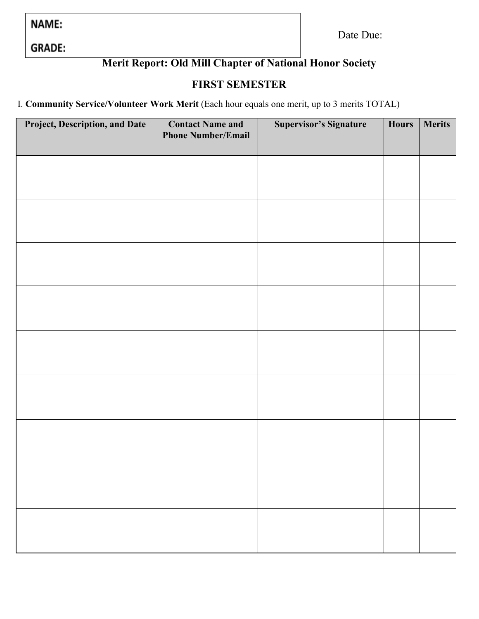NAME:

Date Due:

**GRADE:** 

# **Merit Report: Old Mill Chapter of National Honor Society**

## **FIRST SEMESTER**

I. **Community Service/Volunteer Work Merit** (Each hour equals one merit, up to 3 merits TOTAL)

| Project, Description, and Date | <b>Contact Name and</b><br><b>Phone Number/Email</b> | <b>Supervisor's Signature</b> | <b>Hours</b> | <b>Merits</b> |
|--------------------------------|------------------------------------------------------|-------------------------------|--------------|---------------|
|                                |                                                      |                               |              |               |
|                                |                                                      |                               |              |               |
|                                |                                                      |                               |              |               |
|                                |                                                      |                               |              |               |
|                                |                                                      |                               |              |               |
|                                |                                                      |                               |              |               |
|                                |                                                      |                               |              |               |
|                                |                                                      |                               |              |               |
|                                |                                                      |                               |              |               |
|                                |                                                      |                               |              |               |
|                                |                                                      |                               |              |               |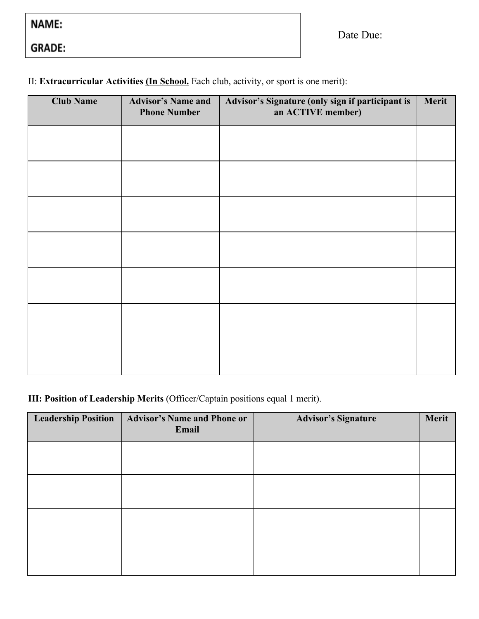| NAME: |  |  |
|-------|--|--|
|-------|--|--|

GRADE:

II: **Extracurricular Activities (In School.** Each club, activity, or sport is one merit):

| <b>Club Name</b> | <b>Advisor's Name and</b><br><b>Phone Number</b> | Advisor's Signature (only sign if participant is<br>an ACTIVE member) | Merit |
|------------------|--------------------------------------------------|-----------------------------------------------------------------------|-------|
|                  |                                                  |                                                                       |       |
|                  |                                                  |                                                                       |       |
|                  |                                                  |                                                                       |       |
|                  |                                                  |                                                                       |       |
|                  |                                                  |                                                                       |       |
|                  |                                                  |                                                                       |       |
|                  |                                                  |                                                                       |       |

## **III: Position of Leadership Merits** (Officer/Captain positions equal 1 merit).

| <b>Leadership Position</b> | <b>Advisor's Name and Phone or</b><br>Email | <b>Advisor's Signature</b> | Merit |
|----------------------------|---------------------------------------------|----------------------------|-------|
|                            |                                             |                            |       |
|                            |                                             |                            |       |
|                            |                                             |                            |       |
|                            |                                             |                            |       |